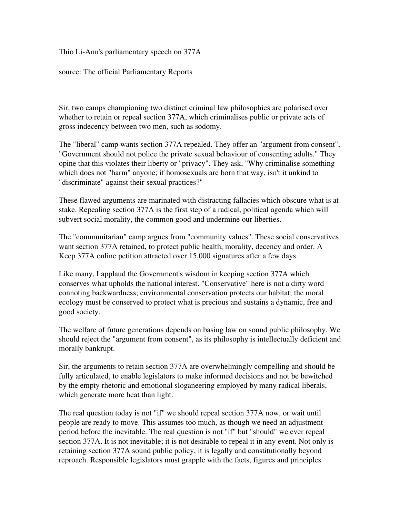Thio Li-Ann's parliamentary speech on 377A

source: The official Parliamentary Reports

Sir, two camps championing two distinct criminal law philosophies are polarised over whether to retain or repeal section 377A, which criminalises public or private acts of gross indecency between two men, such as sodomy.

The "liberal" camp wants section 377A repealed. They offer an "argument from consent", "Government should not police the private sexual behaviour of consenting adults." They opine that this violates their liberty or "privacy". They ask, "Why criminalise something which does not "harm" anyone; if homosexuals are born that way, isn't it unkind to "discriminate" against their sexual practices?"

These flawed arguments are marinated with distracting fallacies which obscure what is at stake. Repealing section 377A is the first step of a radical, political agenda which will subvert social morality, the common good and undermine our liberties.

The "communitarian" camp argues from "community values". These social conservatives want section 377A retained, to protect public health, morality, decency and order. A Keep 377A online petition attracted over 15,000 signatures after a few days.

Like many, I applaud the Government's wisdom in keeping section 377A which conserves what upholds the national interest. "Conservative" here is not a dirty word connoting backwardness; environmental conservation protects our habitat; the moral ecology must be conserved to protect what is precious and sustains a dynamic, free and good society.

The welfare of future generations depends on basing law on sound public philosophy. We should reject the "argument from consent", as its philosophy is intellectually deficient and morally bankrupt.

Sir, the arguments to retain section 377A are overwhelmingly compelling and should be fully articulated, to enable legislators to make informed decisions and not be bewitched by the empty rhetoric and emotional sloganeering employed by many radical liberals, which generate more heat than light.

The real question today is not "if" we should repeal section 377A now, or wait until people are ready to move. This assumes too much, as though we need an adjustment period before the inevitable. The real question is not "if" but "should" we ever repeal section 377A. It is not inevitable; it is not desirable to repeal it in any event. Not only is retaining section 377A sound public policy, it is legally and constitutionally beyond reproach. Responsible legislators must grapple with the facts, figures and principles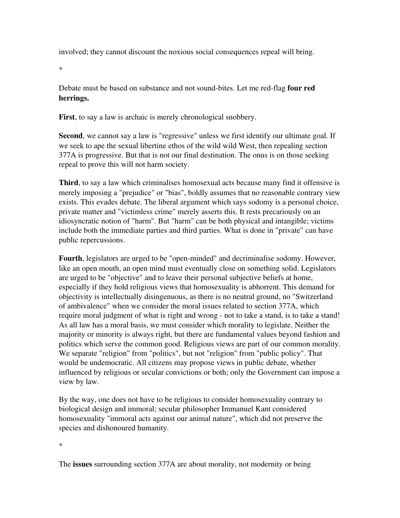involved; they cannot discount the noxious social consequences repeal will bring.

\*

Debate must be based on substance and not sound-bites. Let me red-flag **four red** herrings.

First, to say a law is archaic is merely chronological snobbery.

Second, we cannot say a law is "regressive" unless we first identify our ultimate goal. If we seek to ape the sexual libertine ethos of the wild wild West, then repealing section 377A is progressive. But that is not our final destination. The onus is on those seeking repeal to prove this will not harm society.

Third, to say a law which criminalises homosexual acts because many find it offensive is merely imposing a "prejudice" or "bias", boldly assumes that no reasonable contrary view exists. This evades debate. The liberal argument which says sodomy is a personal choice, private matter and "victimless crime" merely asserts this. It rests precariously on an idiosyncratic notion of "harm". But "harm" can be both physical and intangible; victims include both the immediate parties and third parties. What is done in "private" can have public repercussions.

Fourth, legislators are urged to be "open-minded" and decriminalise sodomy. However, like an open mouth, an open mind must eventually close on something solid. Legislators are urged to be "objective" and to leave their personal subjective beliefs at home, especially if they hold religious views that homosexuality is abhorrent. This demand for objectivity is intellectually disingenuous, as there is no neutral ground, no "Switzerland of ambivalence" when we consider the moral issues related to section 377A, which require moral judgment of what is right and wrong - not to take a stand, is to take a stand! As all law has a moral basis, we must consider which morality to legislate. Neither the majority or minority is always right, but there are fundamental values beyond fashion and politics which serve the common good. Religious views are part of our common morality. We separate "religion" from "politics", but not "religion" from "public policy". That would be undemocratic. All citizens may propose views in public debate, whether influenced by religious or secular convictions or both; only the Government can impose a view by law.

By the way, one does not have to be religious to consider homosexuality contrary to biological design and immoral; secular philosopher Immanuel Kant considered homosexuality "immoral acts against our animal nature", which did not preserve the species and dishonoured humanity.

\*

The issues surrounding section 377A are about morality, not modernity or being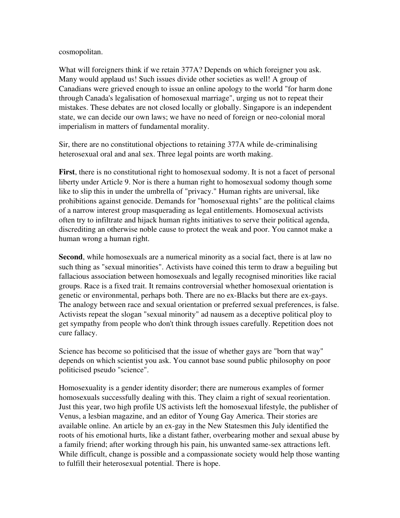## cosmopolitan.

What will foreigners think if we retain 377A? Depends on which foreigner you ask. Many would applaud us! Such issues divide other societies as well! A group of Canadians were grieved enough to issue an online apology to the world "for harm done through Canada's legalisation of homosexual marriage", urging us not to repeat their mistakes. These debates are not closed locally or globally. Singapore is an independent state, we can decide our own laws; we have no need of foreign or neo-colonial moral imperialism in matters of fundamental morality.

Sir, there are no constitutional objections to retaining 377A while decriminalising heterosexual oral and anal sex. Three legal points are worth making.

First, there is no constitutional right to homosexual sodomy. It is not a facet of personal liberty under Article 9. Nor is there a human right to homosexual sodomy though some like to slip this in under the umbrella of "privacy." Human rights are universal, like prohibitions against genocide. Demands for "homosexual rights" are the political claims of a narrow interest group masquerading as legal entitlements. Homosexual activists often try to infiltrate and hijack human rights initiatives to serve their political agenda, discrediting an otherwise noble cause to protect the weak and poor. You cannot make a human wrong a human right.

Second, while homosexuals are a numerical minority as a social fact, there is at law no such thing as "sexual minorities". Activists have coined this term to draw a beguiling but fallacious association between homosexuals and legally recognised minorities like racial groups. Race is a fixed trait. It remains controversial whether homosexual orientation is genetic or environmental, perhaps both. There are no ex-Blacks but there are ex-gays. The analogy between race and sexual orientation or preferred sexual preferences, is false. Activists repeat the slogan "sexual minority" ad nausem as a deceptive political ploy to get sympathy from people who don't think through issues carefully. Repetition does not cure fallacy.

Science has become so politicised that the issue of whether gays are "born that way" depends on which scientist you ask. You cannot base sound public philosophy on poor politicised pseudo "science".

Homosexuality is a gender identity disorder; there are numerous examples of former homosexuals successfully dealing with this. They claim a right of sexual reorientation. Just this year, two high profile US activists left the homosexual lifestyle, the publisher of Venus, a lesbian magazine, and an editor of Young Gay America. Their stories are available online. An article by an ex-gay in the New Statesmen this July identified the roots of his emotional hurts, like a distant father, overbearing mother and sexual abuse by a family friend; after working through his pain, his unwanted samesex attractions left. While difficult, change is possible and a compassionate society would help those wanting to fulfill their heterosexual potential. There is hope.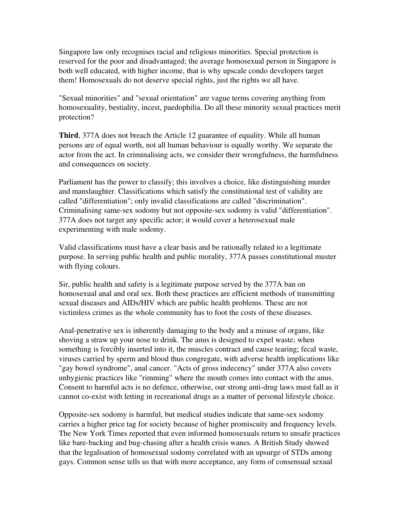Singapore law only recognises racial and religious minorities. Special protection is reserved for the poor and disadvantaged; the average homosexual person in Singapore is both well educated, with higher income, that is why upscale condo developers target them! Homosexuals do not deserve special rights, just the rights we all have.

"Sexual minorities" and "sexual orientation" are vague terms covering anything from homosexuality, bestiality, incest, paedophilia. Do all these minority sexual practices merit protection?

Third, 377A does not breach the Article 12 guarantee of equality. While all human persons are of equal worth, not all human behaviour is equally worthy. We separate the actor from the act. In criminalising acts, we consider their wrongfulness, the harmfulness and consequences on society.

Parliament has the power to classify; this involves a choice, like distinguishing murder and manslaughter. Classifications which satisfy the constitutional test of validity are called "differentiation"; only invalid classifications are called "discrimination". Criminalising same-sex sodomy but not opposite-sex sodomy is valid "differentiation". 377A does not target any specific actor; it would cover a heterosexual male experimenting with male sodomy.

Valid classifications must have a clear basis and be rationally related to a legitimate purpose. In serving public health and public morality, 377A passes constitutional muster with flying colours.

Sir, public health and safety is a legitimate purpose served by the 377A ban on homosexual anal and oral sex. Both these practices are efficient methods of transmitting sexual diseases and AIDs/HIV which are public health problems. These are not victimless crimes as the whole community has to foot the costs of these diseases.

Anal-penetrative sex is inherently damaging to the body and a misuse of organs, like shoving a straw up your nose to drink. The anus is designed to expel waste; when something is forcibly inserted into it, the muscles contract and cause tearing; fecal waste, viruses carried by sperm and blood thus congregate, with adverse health implications like "gay bowel syndrome", anal cancer. "Acts of gross indecency" under 377A also covers unhygienic practices like "rimming" where the mouth comes into contact with the anus. Consent to harmful acts is no defence, otherwise, our strong anti-drug laws must fall as it cannot co-exist with letting in recreational drugs as a matter of personal lifestyle choice.

Opposite-sex sodomy is harmful, but medical studies indicate that same-sex sodomy carries a higher price tag for society because of higher promiscuity and frequency levels. The New York Times reported that even informed homosexuals return to unsafe practices like bare-backing and bug-chasing after a health crisis wanes. A British Study showed that the legalisation of homosexual sodomy correlated with an upsurge of STDs among gays. Common sense tells us that with more acceptance, any form of consensual sexual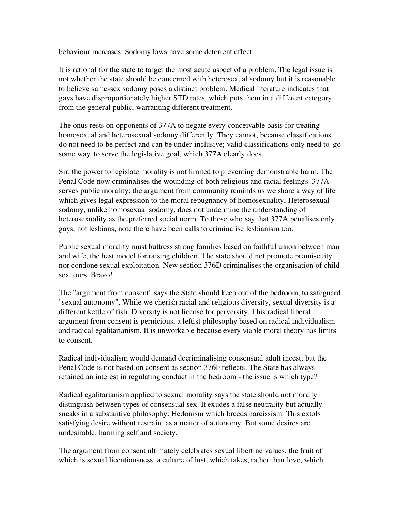behaviour increases. Sodomy laws have some deterrent effect.

It is rational for the state to target the most acute aspect of a problem. The legal issue is not whether the state should be concerned with heterosexual sodomy but it is reasonable to believe samesex sodomy poses a distinct problem. Medical literature indicates that gays have disproportionately higher STD rates, which puts them in a different category from the general public, warranting different treatment.

The onus rests on opponents of 377A to negate every conceivable basis for treating homosexual and heterosexual sodomy differently. They cannot, because classifications do not need to be perfect and can be underinclusive; valid classifications only need to 'go some way' to serve the legislative goal, which 377A clearly does.

Sir, the power to legislate morality is not limited to preventing demonstrable harm. The Penal Code now criminalises the wounding of both religious and racial feelings. 377A serves public morality; the argument from community reminds us we share a way of life which gives legal expression to the moral repugnancy of homosexuality. Heterosexual sodomy, unlike homosexual sodomy, does not undermine the understanding of heterosexuality as the preferred social norm. To those who say that 377A penalises only gays, not lesbians, note there have been calls to criminalise lesbianism too.

Public sexual morality must buttress strong families based on faithful union between man and wife, the best model for raising children. The state should not promote promiscuity nor condone sexual exploitation. New section 376D criminalises the organisation of child sex tours. Bravo!

The "argument from consent" says the State should keep out of the bedroom, to safeguard "sexual autonomy". While we cherish racial and religious diversity, sexual diversity is a different kettle of fish. Diversity is not license for perversity. This radical liberal argument from consent is pernicious, a leftist philosophy based on radical individualism and radical egalitarianism. It is unworkable because every viable moral theory has limits to consent.

Radical individualism would demand decriminalising consensual adult incest; but the Penal Code is not based on consent as section 376F reflects. The State has always retained an interest in regulating conduct in the bedroom - the issue is which type?

Radical egalitarianism applied to sexual morality says the state should not morally distinguish between types of consensual sex. It exudes a false neutrality but actually sneaks in a substantive philosophy: Hedonism which breeds narcissism. This extols satisfying desire without restraint as a matter of autonomy. But some desires are undesirable, harming self and society.

The argument from consent ultimately celebrates sexual libertine values, the fruit of which is sexual licentiousness, a culture of lust, which takes, rather than love, which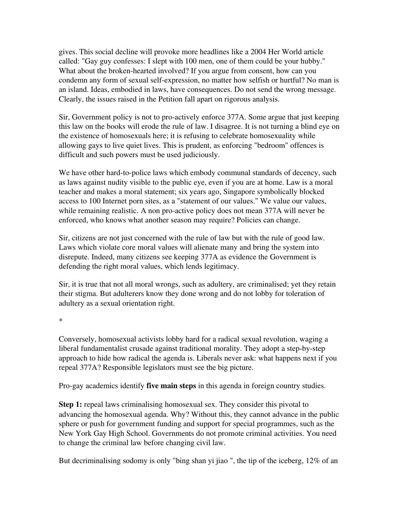gives. This social decline will provoke more headlines like a 2004 Her World article called: "Gay guy confesses: I slept with 100 men, one of them could be your hubby." What about the broken-hearted involved? If you argue from consent, how can you condemn any form of sexual self-expression, no matter how selfish or hurtful? No man is an island. Ideas, embodied in laws, have consequences. Do not send the wrong message. Clearly, the issues raised in the Petition fall apart on rigorous analysis.

Sir, Government policy is not to pro-actively enforce 377A. Some argue that just keeping this law on the books will erode the rule of law. I disagree. It is not turning a blind eye on the existence of homosexuals here; it is refusing to celebrate homosexuality while allowing gays to live quiet lives. This is prudent, as enforcing "bedroom" offences is difficult and such powers must be used judiciously.

We have other hard-to-police laws which embody communal standards of decency, such as laws against nudity visible to the public eye, even if you are at home. Law is a moral teacher and makes a moral statement; six years ago, Singapore symbolically blocked access to 100 Internet porn sites, as a "statement of our values." We value our values, while remaining realistic. A non pro-active policy does not mean 377A will never be enforced, who knows what another season may require? Policies can change.

Sir, citizens are not just concerned with the rule of law but with the rule of good law. Laws which violate core moral values will alienate many and bring the system into disrepute. Indeed, many citizens see keeping 377A as evidence the Government is defending the right moral values, which lends legitimacy.

Sir, it is true that not all moral wrongs, such as adultery, are criminalised; yet they retain their stigma. But adulterers know they done wrong and do not lobby for toleration of adultery as a sexual orientation right.

\*

Conversely, homosexual activists lobby hard for a radical sexual revolution, waging a liberal fundamentalist crusade against traditional morality. They adopt a step-by-step approach to hide how radical the agenda is. Liberals never ask: what happens next if you repeal 377A? Responsible legislators must see the big picture.

Pro-gay academics identify **five main steps** in this agenda in foreign country studies.

Step 1: repeal laws criminalising homosexual sex. They consider this pivotal to advancing the homosexual agenda. Why? Without this, they cannot advance in the public sphere or push for government funding and support for special programmes, such as the New York Gay High School. Governments do not promote criminal activities. You need to change the criminal law before changing civil law.

But decriminalising sodomy is only "bing shan yi jiao", the tip of the iceberg, 12\% of an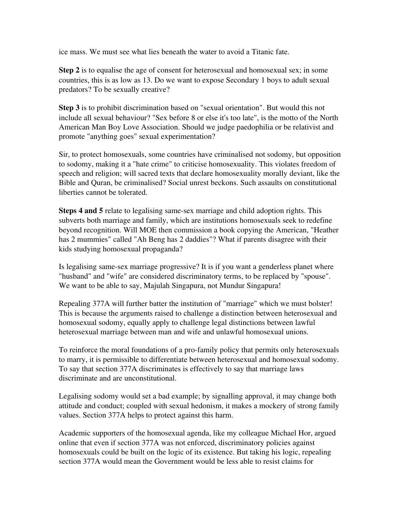ice mass. We must see what lies beneath the water to avoid a Titanic fate.

Step 2 is to equalise the age of consent for heterosexual and homosexual sex; in some countries, this is as low as 13. Do we want to expose Secondary 1 boys to adult sexual predators? To be sexually creative?

Step 3 is to prohibit discrimination based on "sexual orientation". But would this not include all sexual behaviour? "Sex before 8 or else it's too late", is the motto of the North American Man Boy Love Association. Should we judge paedophilia or be relativist and promote "anything goes" sexual experimentation?

Sir, to protect homosexuals, some countries have criminalised not sodomy, but opposition to sodomy, making it a "hate crime" to criticise homosexuality. This violates freedom of speech and religion; will sacred texts that declare homosexuality morally deviant, like the Bible and Quran, be criminalised? Social unrest beckons. Such assaults on constitutional liberties cannot be tolerated.

**Steps 4 and 5** relate to legalising same-sex marriage and child adoption rights. This subverts both marriage and family, which are institutions homosexuals seek to redefine beyond recognition. Will MOE then commission a book copying the American, "Heather has 2 mummies" called "Ah Beng has 2 daddies"? What if parents disagree with their kids studying homosexual propaganda?

Is legalising same-sex marriage progressive? It is if you want a genderless planet where "husband" and "wife" are considered discriminatory terms, to be replaced by "spouse". We want to be able to say, Majulah Singapura, not Mundur Singapura!

Repealing 377A will further batter the institution of "marriage" which we must bolster! This is because the arguments raised to challenge a distinction between heterosexual and homosexual sodomy, equally apply to challenge legal distinctions between lawful heterosexual marriage between man and wife and unlawful homosexual unions.

To reinforce the moral foundations of a pro-family policy that permits only heterosexuals to marry, it is permissible to differentiate between heterosexual and homosexual sodomy. To say that section 377A discriminates is effectively to say that marriage laws discriminate and are unconstitutional.

Legalising sodomy would set a bad example; by signalling approval, it may change both attitude and conduct; coupled with sexual hedonism, it makes a mockery of strong family values. Section 377A helps to protect against this harm.

Academic supporters of the homosexual agenda, like my colleague Michael Hor, argued online that even if section 377A was not enforced, discriminatory policies against homosexuals could be built on the logic of its existence. But taking his logic, repealing section 377A would mean the Government would be less able to resist claims for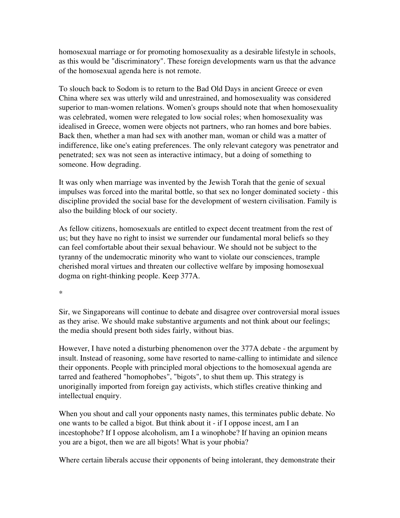homosexual marriage or for promoting homosexuality as a desirable lifestyle in schools, as this would be "discriminatory". These foreign developments warn us that the advance of the homosexual agenda here is not remote.

To slouch back to Sodom is to return to the Bad Old Days in ancient Greece or even China where sex was utterly wild and unrestrained, and homosexuality was considered superior to man-women relations. Women's groups should note that when homosexuality was celebrated, women were relegated to low social roles; when homosexuality was idealised in Greece, women were objects not partners, who ran homes and bore babies. Back then, whether a man had sex with another man, woman or child was a matter of indifference, like one's eating preferences. The only relevant category was penetrator and penetrated; sex was not seen as interactive intimacy, but a doing of something to someone. How degrading.

It was only when marriage was invented by the Jewish Torah that the genie of sexual impulses was forced into the marital bottle, so that sex no longer dominated society this discipline provided the social base for the development of western civilisation. Family is also the building block of our society.

As fellow citizens, homosexuals are entitled to expect decent treatment from the rest of us; but they have no right to insist we surrender our fundamental moral beliefs so they can feel comfortable about their sexual behaviour. We should not be subject to the tyranny of the undemocratic minority who want to violate our consciences, trample cherished moral virtues and threaten our collective welfare by imposing homosexual dogma on right-thinking people. Keep 377A.

\*

Sir, we Singaporeans will continue to debate and disagree over controversial moral issues as they arise. We should make substantive arguments and not think about our feelings; the media should present both sides fairly, without bias.

However, I have noted a disturbing phenomenon over the 377A debate - the argument by insult. Instead of reasoning, some have resorted to name-calling to intimidate and silence their opponents. People with principled moral objections to the homosexual agenda are tarred and feathered "homophobes", "bigots", to shut them up. This strategy is unoriginally imported from foreign gay activists, which stifles creative thinking and intellectual enquiry.

When you shout and call your opponents nasty names, this terminates public debate. No one wants to be called a bigot. But think about it if I oppose incest, am I an incestophobe? If I oppose alcoholism, am I a winophobe? If having an opinion means you are a bigot, then we are all bigots! What is your phobia?

Where certain liberals accuse their opponents of being intolerant, they demonstrate their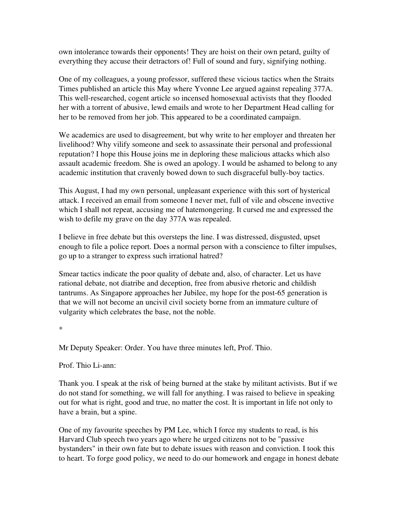own intolerance towards their opponents! They are hoist on their own petard, guilty of everything they accuse their detractors of! Full of sound and fury, signifying nothing.

One of my colleagues, a young professor, suffered these vicious tactics when the Straits Times published an article this May where Yvonne Lee argued against repealing 377A. This well-researched, cogent article so incensed homosexual activists that they flooded her with a torrent of abusive, lewd emails and wrote to her Department Head calling for her to be removed from her job. This appeared to be a coordinated campaign.

We academics are used to disagreement, but why write to her employer and threaten her livelihood? Why vilify someone and seek to assassinate their personal and professional reputation? I hope this House joins me in deploring these malicious attacks which also assault academic freedom. She is owed an apology. I would be ashamed to belong to any academic institution that cravenly bowed down to such disgraceful bully-boy tactics.

This August, I had my own personal, unpleasant experience with this sort of hysterical attack. I received an email from someone I never met, full of vile and obscene invective which I shall not repeat, accusing me of hatemongering. It cursed me and expressed the wish to defile my grave on the day 377A was repealed.

I believe in free debate but this oversteps the line. I was distressed, disgusted, upset enough to file a police report. Does a normal person with a conscience to filter impulses, go up to a stranger to express such irrational hatred?

Smear tactics indicate the poor quality of debate and, also, of character. Let us have rational debate, not diatribe and deception, free from abusive rhetoric and childish tantrums. As Singapore approaches her Jubilee, my hope for the post-65 generation is that we will not become an uncivil civil society borne from an immature culture of vulgarity which celebrates the base, not the noble.

\*

Mr Deputy Speaker: Order. You have three minutes left, Prof. Thio.

Prof. Thio Li-ann:

Thank you. I speak at the risk of being burned at the stake by militant activists. But if we do not stand for something, we will fall for anything. I was raised to believe in speaking out for what is right, good and true, no matter the cost. It is important in life not only to have a brain, but a spine.

One of my favourite speeches by PM Lee, which I force my students to read, is his Harvard Club speech two years ago where he urged citizens not to be "passive bystanders" in their own fate but to debate issues with reason and conviction. I took this to heart. To forge good policy, we need to do our homework and engage in honest debate